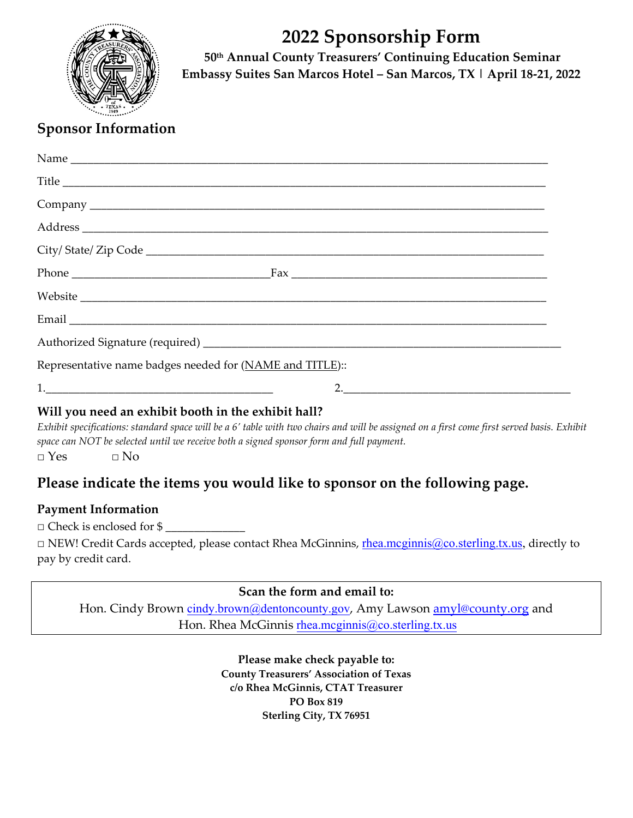

# **2022 Sponsorship Form**

**50th Annual County Treasurers' Continuing Education Seminar Embassy Suites San Marcos Hotel – San Marcos, TX | April 18‐21, 2022**

# **Sponsor Information**

| Title                                                    |  |
|----------------------------------------------------------|--|
|                                                          |  |
|                                                          |  |
|                                                          |  |
|                                                          |  |
|                                                          |  |
|                                                          |  |
|                                                          |  |
| Representative name badges needed for (NAME and TITLE):: |  |
|                                                          |  |
|                                                          |  |

# **Will you need an exhibit booth in the exhibit hall?**

Exhibit specifications: standard space will be a 6' table with two chairs and will be assigned on a first come first served basis. Exhibit *space can NOT be selected until we receive both a signed sponsor form and full payment.* 

 $\square$  Yes  $\square$  No

# **Please indicate the items you would like to sponsor on the following page.**

# **Payment Information**

 $\Box$  Check is enclosed for \$

□ NEW! Credit Cards accepted, please contact Rhea McGinnins, rhea.mcginnis@co.sterling.tx.us, directly to pay by credit card.

## **Scan the form and email to:**

Hon. Cindy Brown cindy.brown@dentoncounty.gov, Amy Lawson amyl@county.org and Hon. Rhea McGinnis rhea.mcginnis@co.sterling.tx.us

> **Please make check payable to: County Treasurers' Association of Texas c/o Rhea McGinnis, CTAT Treasurer PO Box 819 Sterling City, TX 76951**